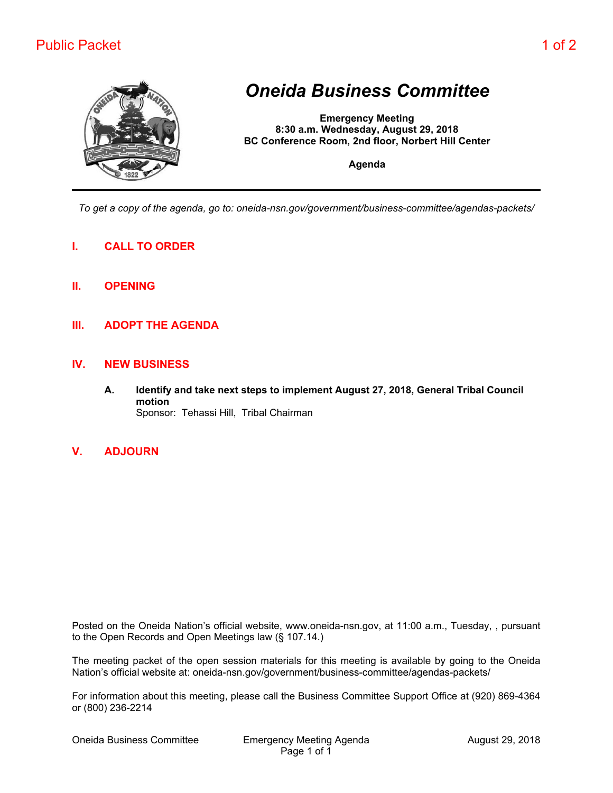## Public Packet 1 of 2



## *Oneida Business Committee*

**Emergency Meeting 8:30 a.m. Wednesday, August 29, 2018 BC Conference Room, 2nd floor, Norbert Hill Center**

**Agenda**

*To get a copy of the agenda, go to: oneida-nsn.gov/government/business-committee/agendas-packets/*

- **I. CALL TO ORDER**
- **II. OPENING**
- **III. ADOPT THE AGENDA**

## **IV. NEW BUSINESS**

- **A. Identify and take next steps to implement August 27, 2018, General Tribal Council motion** Sponsor: Tehassi Hill, Tribal Chairman
- **V. ADJOURN**

Posted on the Oneida Nation's official website, www.oneida-nsn.gov, at 11:00 a.m., Tuesday, , pursuant to the Open Records and Open Meetings law (§ 107.14.)

The meeting packet of the open session materials for this meeting is available by going to the Oneida Nation's official website at: oneida-nsn.gov/government/business-committee/agendas-packets/

For information about this meeting, please call the Business Committee Support Office at (920) 869-4364 or (800) 236-2214